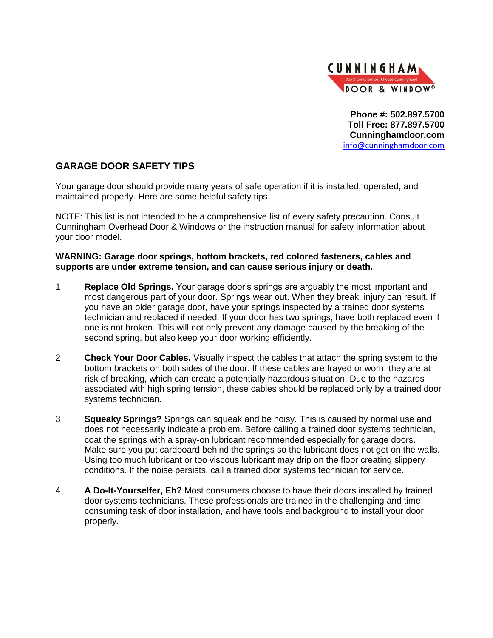

**Phone #: 502.897.5700 Toll Free: 877.897.5700 Cunninghamdoor.com** [info@cunninghamdoor.com](mailto:info@cunninghamdoor.com)

## **GARAGE DOOR SAFETY TIPS**

Your garage door should provide many years of safe operation if it is installed, operated, and maintained properly. Here are some helpful safety tips.

NOTE: This list is not intended to be a comprehensive list of every safety precaution. Consult Cunningham Overhead Door & Windows or the instruction manual for safety information about your door model.

## **WARNING: Garage door springs, bottom brackets, red colored fasteners, cables and supports are under extreme tension, and can cause serious injury or death.**

- 1 **Replace Old Springs.** Your garage door's springs are arguably the most important and most dangerous part of your door. Springs wear out. When they break, injury can result. If you have an older garage door, have your springs inspected by a trained door systems technician and replaced if needed. If your door has two springs, have both replaced even if one is not broken. This will not only prevent any damage caused by the breaking of the second spring, but also keep your door working efficiently.
- 2 **Check Your Door Cables.** Visually inspect the cables that attach the spring system to the bottom brackets on both sides of the door. If these cables are frayed or worn, they are at risk of breaking, which can create a potentially hazardous situation. Due to the hazards associated with high spring tension, these cables should be replaced only by a trained door systems technician.
- 3 **Squeaky Springs?** Springs can squeak and be noisy. This is caused by normal use and does not necessarily indicate a problem. Before calling a trained door systems technician, coat the springs with a spray-on lubricant recommended especially for garage doors. Make sure you put cardboard behind the springs so the lubricant does not get on the walls. Using too much lubricant or too viscous lubricant may drip on the floor creating slippery conditions. If the noise persists, call a trained door systems technician for service.
- 4 **A Do-It-Yourselfer, Eh?** Most consumers choose to have their doors installed by trained door systems technicians. These professionals are trained in the challenging and time consuming task of door installation, and have tools and background to install your door properly.